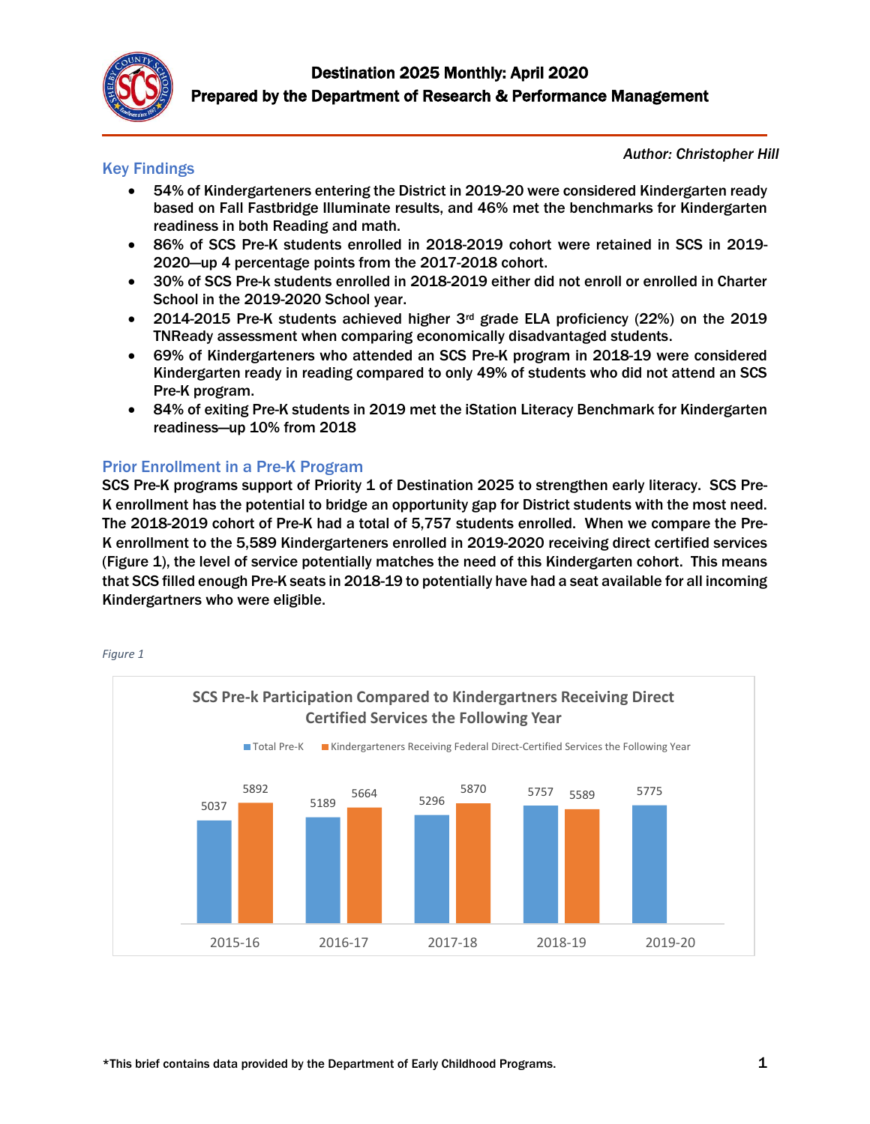

#### Key Findings

*Author: Christopher Hill*

- 54% of Kindergarteners entering the District in 2019-20 were considered Kindergarten ready based on Fall Fastbridge Illuminate results, and 46% met the benchmarks for Kindergarten readiness in both Reading and math.
- 86% of SCS Pre-K students enrolled in 2018-2019 cohort were retained in SCS in 2019- 2020—up 4 percentage points from the 2017-2018 cohort.
- 30% of SCS Pre-k students enrolled in 2018-2019 either did not enroll or enrolled in Charter School in the 2019-2020 School year.
- 2014-2015 Pre-K students achieved higher  $3<sup>rd</sup>$  grade ELA proficiency (22%) on the 2019 TNReady assessment when comparing economically disadvantaged students.
- 69% of Kindergarteners who attended an SCS Pre-K program in 2018-19 were considered Kindergarten ready in reading compared to only 49% of students who did not attend an SCS Pre-K program.
- 84% of exiting Pre-K students in 2019 met the iStation Literacy Benchmark for Kindergarten readiness—up 10% from 2018

## Prior Enrollment in a Pre-K Program

SCS Pre-K programs support of Priority 1 of Destination 2025 to strengthen early literacy. SCS Pre-K enrollment has the potential to bridge an opportunity gap for District students with the most need. The 2018-2019 cohort of Pre-K had a total of 5,757 students enrolled. When we compare the Pre-K enrollment to the 5,589 Kindergarteners enrolled in 2019-2020 receiving direct certified services (Figure 1), the level of service potentially matches the need of this Kindergarten cohort. This means that SCS filled enough Pre-K seats in 2018-19 to potentially have had a seat available for all incoming Kindergartners who were eligible.



*Figure 1*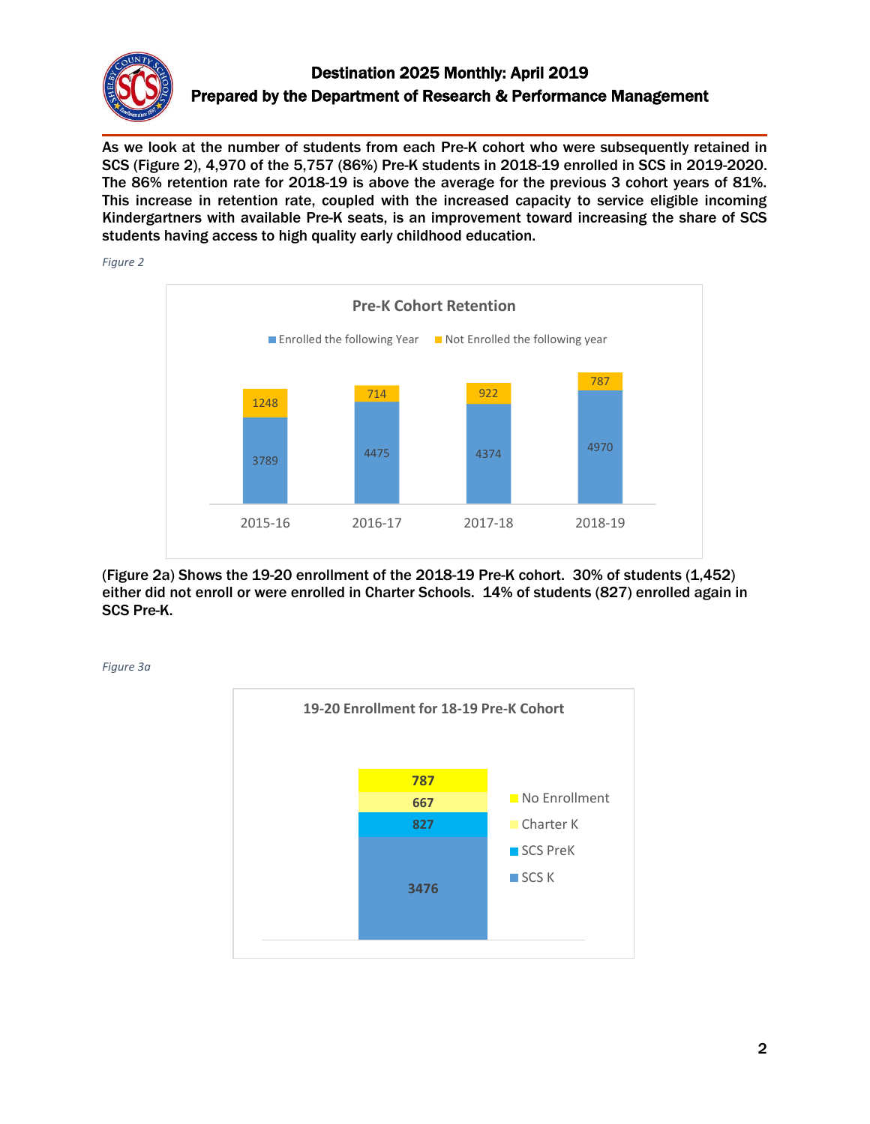

# Destination 2025 Monthly: April 2019 Prepared by the Department of Research & Performance Management

As we look at the number of students from each Pre-K cohort who were subsequently retained in SCS (Figure 2), 4,970 of the 5,757 (86%) Pre-K students in 2018-19 enrolled in SCS in 2019-2020. The 86% retention rate for 2018-19 is above the average for the previous 3 cohort years of 81%. This increase in retention rate, coupled with the increased capacity to service eligible incoming Kindergartners with available Pre-K seats, is an improvement toward increasing the share of SCS students having access to high quality early childhood education.

*Figure 2*



(Figure 2a) Shows the 19-20 enrollment of the 2018-19 Pre-K cohort. 30% of students (1,452) either did not enroll or were enrolled in Charter Schools. 14% of students (827) enrolled again in SCS Pre-K.



*Figure 3a*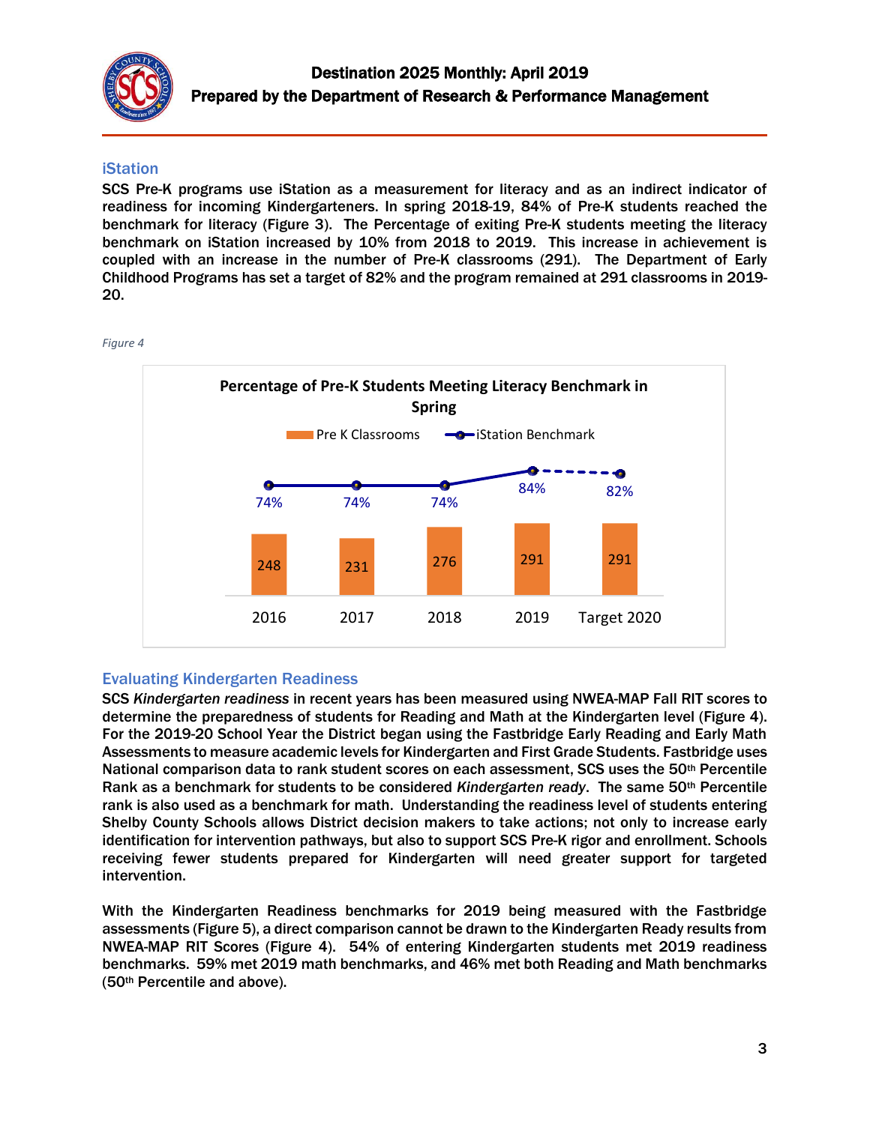

#### iStation

SCS Pre-K programs use iStation as a measurement for literacy and as an indirect indicator of readiness for incoming Kindergarteners. In spring 2018-19, 84% of Pre-K students reached the benchmark for literacy (Figure 3). The Percentage of exiting Pre-K students meeting the literacy benchmark on iStation increased by 10% from 2018 to 2019. This increase in achievement is coupled with an increase in the number of Pre-K classrooms (291). The Department of Early Childhood Programs has set a target of 82% and the program remained at 291 classrooms in 2019- 20.

*Figure 4*



## Evaluating Kindergarten Readiness

SCS *Kindergarten readiness* in recent years has been measured using NWEA-MAP Fall RIT scores to determine the preparedness of students for Reading and Math at the Kindergarten level (Figure 4). For the 2019-20 School Year the District began using the Fastbridge Early Reading and Early Math Assessments to measure academic levels for Kindergarten and First Grade Students. Fastbridge uses National comparison data to rank student scores on each assessment, SCS uses the 50<sup>th</sup> Percentile Rank as a benchmark for students to be considered *Kindergarten ready*. The same 50th Percentile rank is also used as a benchmark for math. Understanding the readiness level of students entering Shelby County Schools allows District decision makers to take actions; not only to increase early identification for intervention pathways, but also to support SCS Pre-K rigor and enrollment. Schools receiving fewer students prepared for Kindergarten will need greater support for targeted intervention.

With the Kindergarten Readiness benchmarks for 2019 being measured with the Fastbridge assessments (Figure 5), a direct comparison cannot be drawn to the Kindergarten Ready results from NWEA-MAP RIT Scores (Figure 4). 54% of entering Kindergarten students met 2019 readiness benchmarks. 59% met 2019 math benchmarks, and 46% met both Reading and Math benchmarks (50th Percentile and above).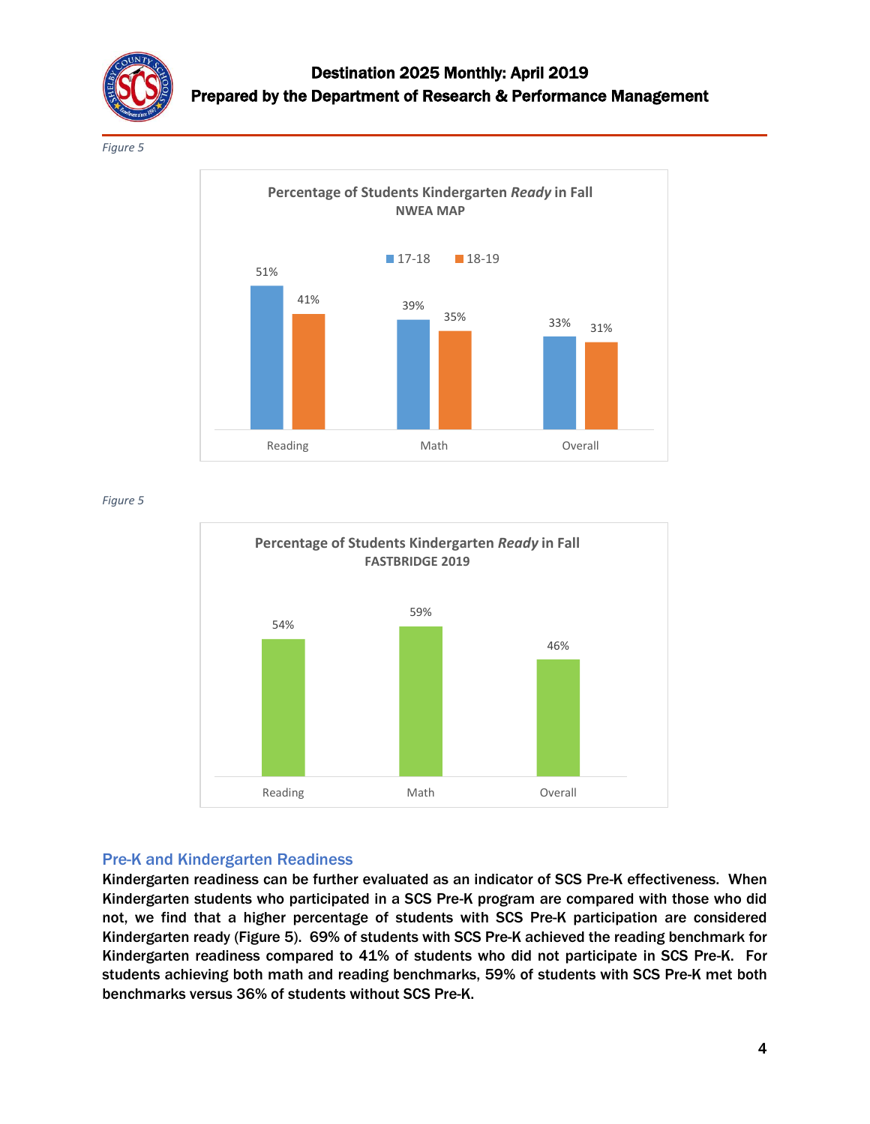

*Figure 5*



*Figure 5*



#### Pre-K and Kindergarten Readiness

Kindergarten readiness can be further evaluated as an indicator of SCS Pre-K effectiveness. When Kindergarten students who participated in a SCS Pre-K program are compared with those who did not, we find that a higher percentage of students with SCS Pre-K participation are considered Kindergarten ready (Figure 5). 69% of students with SCS Pre-K achieved the reading benchmark for Kindergarten readiness compared to 41% of students who did not participate in SCS Pre-K. For students achieving both math and reading benchmarks, 59% of students with SCS Pre-K met both benchmarks versus 36% of students without SCS Pre-K.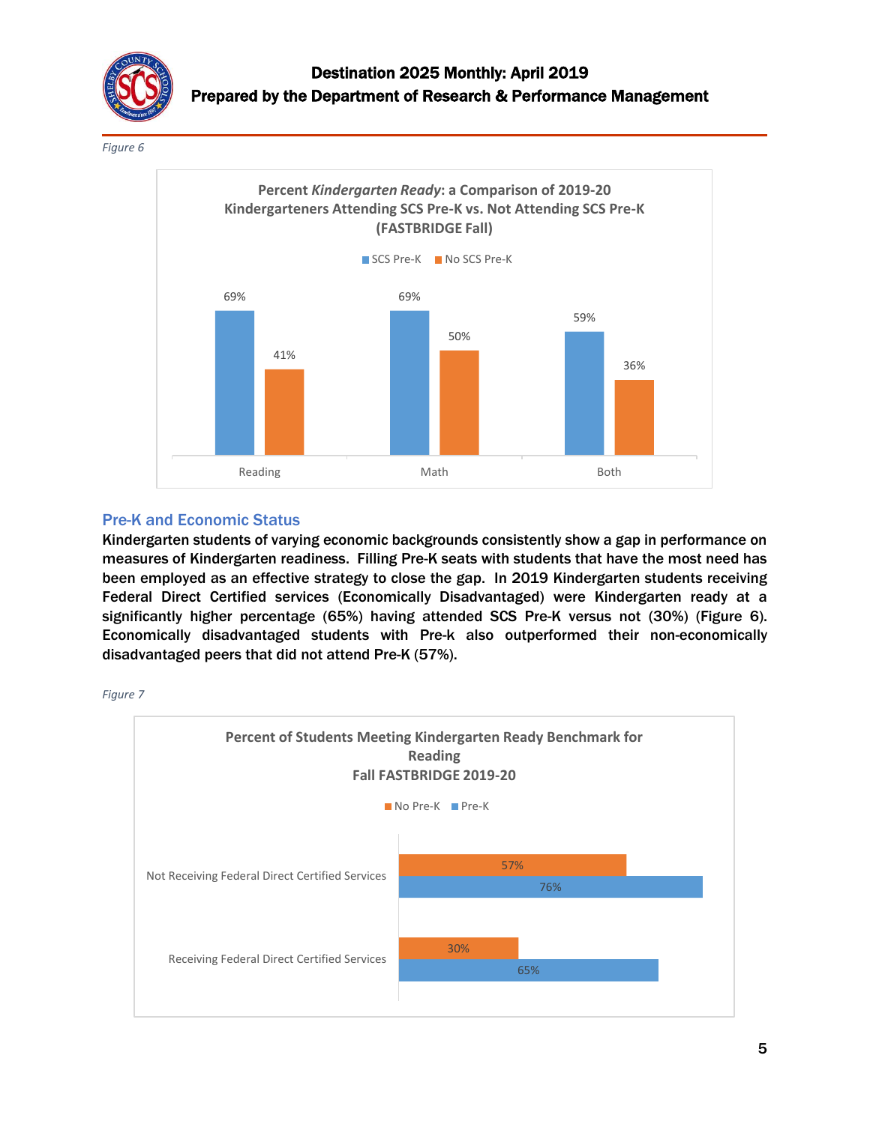

*Figure 6*



#### Pre-K and Economic Status

Kindergarten students of varying economic backgrounds consistently show a gap in performance on measures of Kindergarten readiness. Filling Pre-K seats with students that have the most need has been employed as an effective strategy to close the gap. In 2019 Kindergarten students receiving Federal Direct Certified services (Economically Disadvantaged) were Kindergarten ready at a significantly higher percentage (65%) having attended SCS Pre-K versus not (30%) (Figure 6). Economically disadvantaged students with Pre-k also outperformed their non-economically disadvantaged peers that did not attend Pre-K (57%).

*Figure 7*

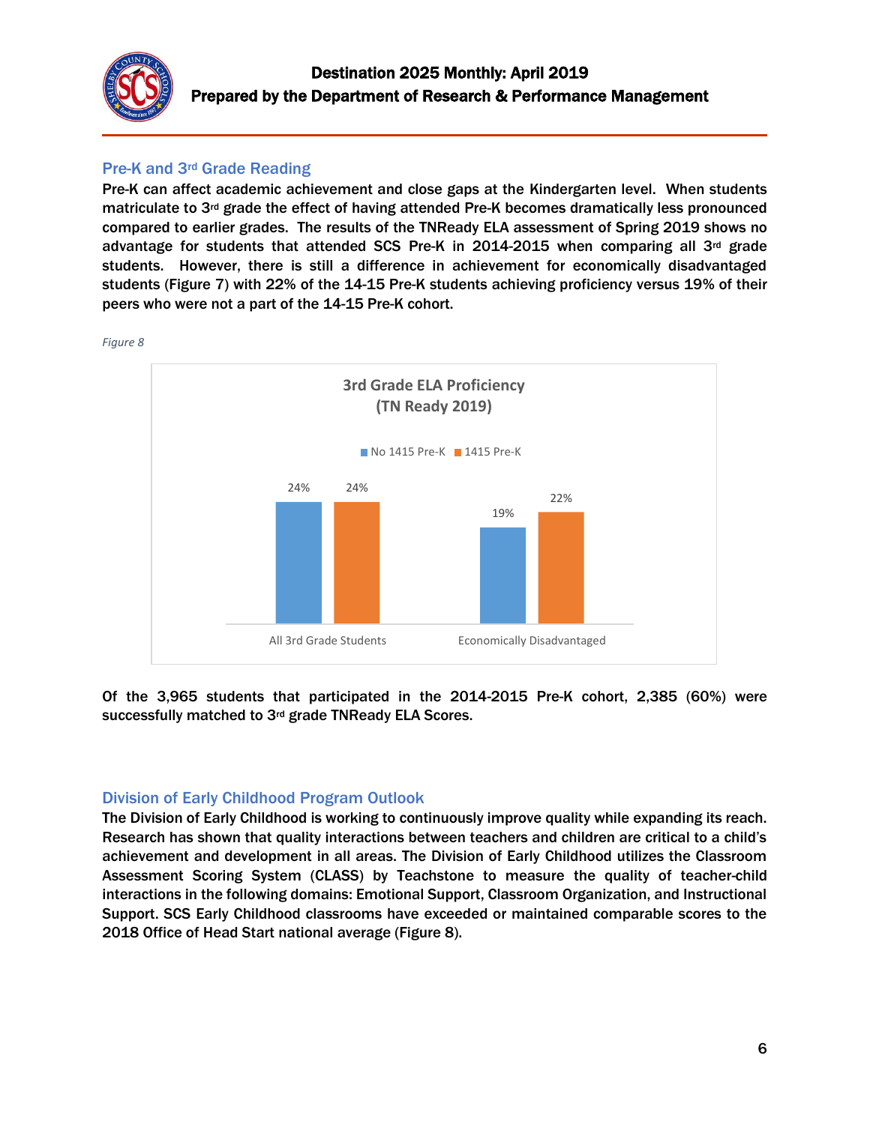

## Pre-K and 3rd Grade Reading

Pre-K can affect academic achievement and close gaps at the Kindergarten level. When students matriculate to  $3<sup>rd</sup>$  grade the effect of having attended Pre-K becomes dramatically less pronounced compared to earlier grades. The results of the TNReady ELA assessment of Spring 2019 shows no advantage for students that attended SCS Pre-K in 2014-2015 when comparing all 3rd grade students. However, there is still a difference in achievement for economically disadvantaged students (Figure 7) with 22% of the 14-15 Pre-K students achieving proficiency versus 19% of their peers who were not a part of the 14-15 Pre-K cohort.



Of the 3,965 students that participated in the 2014-2015 Pre-K cohort, 2,385 (60%) were successfully matched to 3rd grade TNReady ELA Scores.

## Division of Early Childhood Program Outlook

The Division of Early Childhood is working to continuously improve quality while expanding its reach. Research has shown that quality interactions between teachers and children are critical to a child's achievement and development in all areas. The Division of Early Childhood utilizes the Classroom Assessment Scoring System (CLASS) by Teachstone to measure the quality of teacher-child interactions in the following domains: Emotional Support, Classroom Organization, and Instructional Support. SCS Early Childhood classrooms have exceeded or maintained comparable scores to the 2018 Office of Head Start national average (Figure 8).

*Figure 8*